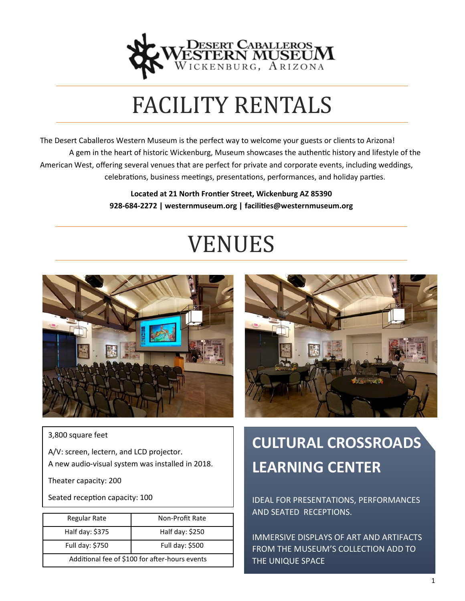

## FACILITY RENTALS

The Desert Caballeros Western Museum is the perfect way to welcome your guests or clients to Arizona! A gem in the heart of historic Wickenburg, Museum showcases the authentic history and lifestyle of the American West, offering several venues that are perfect for private and corporate events, including weddings, celebrations, business meetings, presentations, performances, and holiday parties.

> **Located at 21 North Frontier Street, Wickenburg AZ 85390 928-684-2272 | westernmuseum.org | facilities@westernmuseum.org**

# VENUES





3,800 square feet

A/V: screen, lectern, and LCD projector. A new audio-visual system was installed in 2018.

Theater capacity: 200

Seated reception capacity: 100

| Regular Rate                                   | Non-Profit Rate |  |
|------------------------------------------------|-----------------|--|
|                                                |                 |  |
| Half day: \$375                                | Half day: \$250 |  |
|                                                |                 |  |
| Full day: \$750                                | Full day: \$500 |  |
|                                                |                 |  |
| Additional fee of \$100 for after-hours events |                 |  |
|                                                |                 |  |

### **CULTURAL CROSSROADS LEARNING CENTER**

IDEAL FOR PRESENTATIONS, PERFORMANCES AND SEATED RECEPTIONS.

IMMERSIVE DISPLAYS OF ART AND ARTIFACTS FROM THE MUSEUM'S COLLECTION ADD TO THE UNIQUE SPACE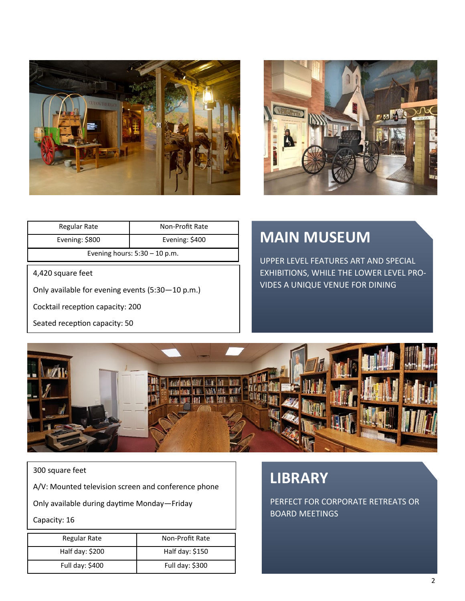



| Regular Rate                    | Non-Profit Rate |  |
|---------------------------------|-----------------|--|
| Evening: \$800                  | Evening: \$400  |  |
| Evening hours: $5:30 - 10$ p.m. |                 |  |

4,420 square feet

Only available for evening events (5:30—10 p.m.)

Cocktail reception capacity: 200

Seated reception capacity: 50

#### **MAIN MUSEUM**

UPPER LEVEL FEATURES ART AND SPECIAL EXHIBITIONS, WHILE THE LOWER LEVEL PRO-VIDES A UNIQUE VENUE FOR DINING



300 square feet

A/V: Mounted television screen and conference phone

Only available during daytime Monday—Friday

Capacity: 16

| Regular Rate    | Non-Profit Rate |
|-----------------|-----------------|
| Half day: \$200 | Half day: \$150 |
| Full day: \$400 | Full day: \$300 |

#### **LIBRARY**

PERFECT FOR CORPORATE RETREATS OR BOARD MEETINGS